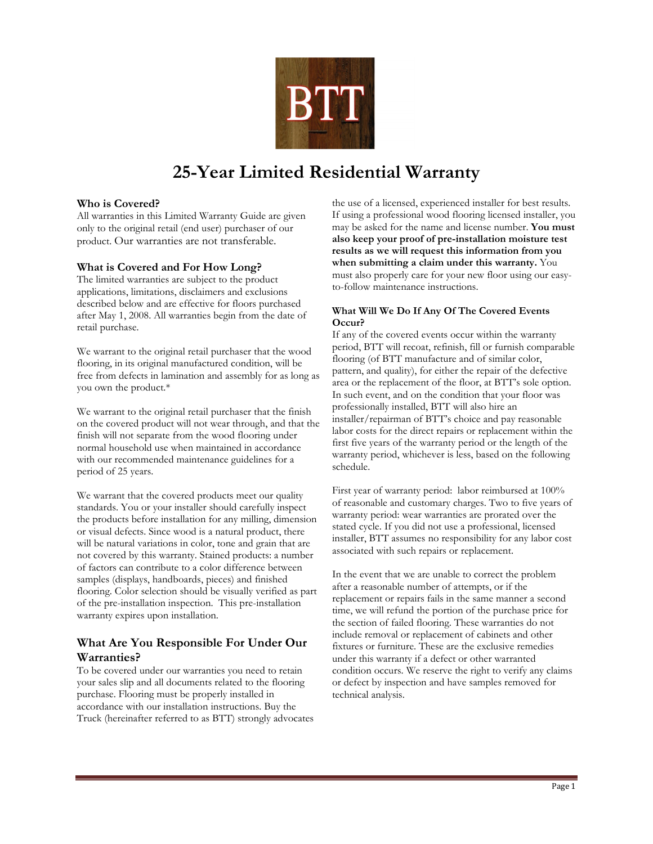

# **25-Year Limited Residential Warranty**

# **Who is Covered?**

All warranties in this Limited Warranty Guide are given only to the original retail (end user) purchaser of our product. Our warranties are not transferable.

# **What is Covered and For How Long?**

The limited warranties are subject to the product applications, limitations, disclaimers and exclusions described below and are effective for floors purchased after May 1, 2008. All warranties begin from the date of retail purchase.

We warrant to the original retail purchaser that the wood flooring, in its original manufactured condition, will be free from defects in lamination and assembly for as long as you own the product.\*

We warrant to the original retail purchaser that the finish on the covered product will not wear through, and that the finish will not separate from the wood flooring under normal household use when maintained in accordance with our recommended maintenance guidelines for a period of 25 years.

We warrant that the covered products meet our quality standards. You or your installer should carefully inspect the products before installation for any milling, dimension or visual defects. Since wood is a natural product, there will be natural variations in color, tone and grain that are not covered by this warranty. Stained products: a number of factors can contribute to a color difference between samples (displays, handboards, pieces) and finished flooring. Color selection should be visually verified as part of the pre-installation inspection. This pre-installation warranty expires upon installation.

# **What Are You Responsible For Under Our Warranties?**

To be covered under our warranties you need to retain your sales slip and all documents related to the flooring purchase. Flooring must be properly installed in accordance with our installation instructions. Buy the Truck (hereinafter referred to as BTT) strongly advocates the use of a licensed, experienced installer for best results. If using a professional wood flooring licensed installer, you may be asked for the name and license number. **You must also keep your proof of pre-installation moisture test results as we will request this information from you when submitting a claim under this warranty.** You must also properly care for your new floor using our easyto-follow maintenance instructions.

# **What Will We Do If Any Of The Covered Events Occur?**

If any of the covered events occur within the warranty period, BTT will recoat, refinish, fill or furnish comparable flooring (of BTT manufacture and of similar color, pattern, and quality), for either the repair of the defective area or the replacement of the floor, at BTT's sole option. In such event, and on the condition that your floor was professionally installed, BTT will also hire an installer/repairman of BTT's choice and pay reasonable labor costs for the direct repairs or replacement within the first five years of the warranty period or the length of the warranty period, whichever is less, based on the following schedule.

First year of warranty period: labor reimbursed at 100% of reasonable and customary charges. Two to five years of warranty period: wear warranties are prorated over the stated cycle. If you did not use a professional, licensed installer, BTT assumes no responsibility for any labor cost associated with such repairs or replacement.

In the event that we are unable to correct the problem after a reasonable number of attempts, or if the replacement or repairs fails in the same manner a second time, we will refund the portion of the purchase price for the section of failed flooring. These warranties do not include removal or replacement of cabinets and other fixtures or furniture. These are the exclusive remedies under this warranty if a defect or other warranted condition occurs. We reserve the right to verify any claims or defect by inspection and have samples removed for technical analysis.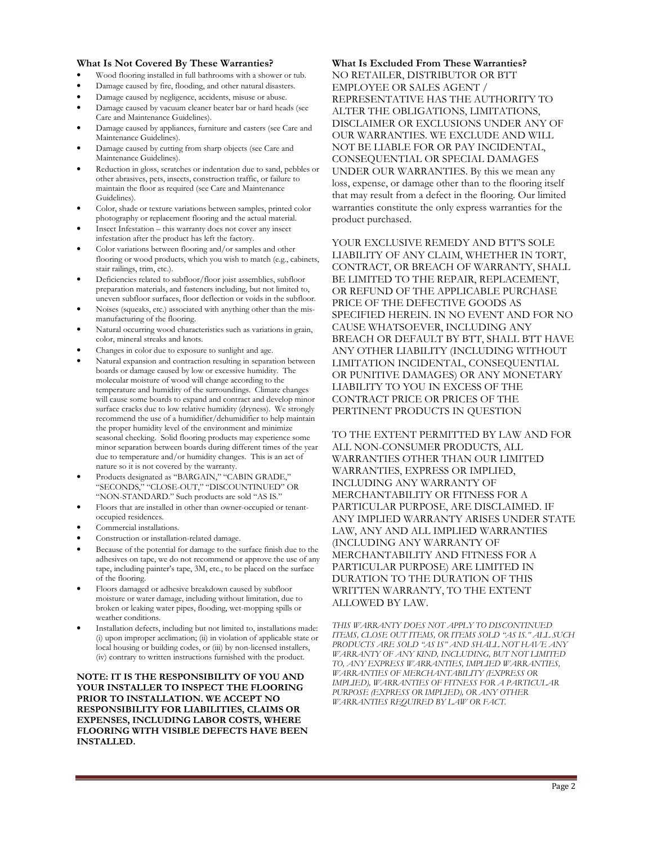#### **What Is Not Covered By These Warranties?**

- Wood flooring installed in full bathrooms with a shower or tub.
- Damage caused by fire, flooding, and other natural disasters.
- Damage caused by negligence, accidents, misuse or abuse.
- Damage caused by vacuum cleaner beater bar or hard heads (see Care and Maintenance Guidelines).
- Damage caused by appliances, furniture and casters (see Care and Maintenance Guidelines).
- Damage caused by cutting from sharp objects (see Care and Maintenance Guidelines).
- Reduction in gloss, scratches or indentation due to sand, pebbles or other abrasives, pets, insects, construction traffic, or failure to maintain the floor as required (see Care and Maintenance Guidelines).
- Color, shade or texture variations between samples, printed color photography or replacement flooring and the actual material.
- Insect Infestation this warranty does not cover any insect infestation after the product has left the factory.
- Color variations between flooring and/or samples and other flooring or wood products, which you wish to match (e.g., cabinets, stair railings, trim, etc.).
- Deficiencies related to subfloor/floor joist assemblies, subfloor preparation materials, and fasteners including, but not limited to, uneven subfloor surfaces, floor deflection or voids in the subfloor.
- Noises (squeaks, etc.) associated with anything other than the mismanufacturing of the flooring.
- Natural occurring wood characteristics such as variations in grain, color, mineral streaks and knots.
- Changes in color due to exposure to sunlight and age.
- Natural expansion and contraction resulting in separation between boards or damage caused by low or excessive humidity. The molecular moisture of wood will change according to the temperature and humidity of the surroundings. Climate changes will cause some boards to expand and contract and develop minor surface cracks due to low relative humidity (dryness). We strongly recommend the use of a humidifier/dehumidifier to help maintain the proper humidity level of the environment and minimize seasonal checking. Solid flooring products may experience some minor separation between boards during different times of the year due to temperature and/or humidity changes. This is an act of nature so it is not covered by the warranty.
- Products designated as "BARGAIN," "CABIN GRADE," "SECONDS," "CLOSE-OUT," "DISCOUNTINUED" OR "NON-STANDARD." Such products are sold "AS IS."
- Floors that are installed in other than owner-occupied or tenantoccupied residences.
- Commercial installations.
- Construction or installation-related damage.
- Because of the potential for damage to the surface finish due to the adhesives on tape, we do not recommend or approve the use of any tape, including painter's tape, 3M, etc., to be placed on the surface of the flooring.
- Floors damaged or adhesive breakdown caused by subfloor moisture or water damage, including without limitation, due to broken or leaking water pipes, flooding, wet-mopping spills or weather conditions.
- Installation defects, including but not limited to, installations made: (i) upon improper acclimation; (ii) in violation of applicable state or local housing or building codes, or (iii) by non-licensed installers, (iv) contrary to written instructions furnished with the product.

**NOTE: IT IS THE RESPONSIBILITY OF YOU AND YOUR INSTALLER TO INSPECT THE FLOORING PRIOR TO INSTALLATION. WE ACCEPT NO RESPONSIBILITY FOR LIABILITIES, CLAIMS OR EXPENSES, INCLUDING LABOR COSTS, WHERE FLOORING WITH VISIBLE DEFECTS HAVE BEEN INSTALLED.** 

# **What Is Excluded From These Warranties?**

NO RETAILER, DISTRIBUTOR OR BTT EMPLOYEE OR SALES AGENT / REPRESENTATIVE HAS THE AUTHORITY TO ALTER THE OBLIGATIONS, LIMITATIONS, DISCLAIMER OR EXCLUSIONS UNDER ANY OF OUR WARRANTIES. WE EXCLUDE AND WILL NOT BE LIABLE FOR OR PAY INCIDENTAL, CONSEQUENTIAL OR SPECIAL DAMAGES UNDER OUR WARRANTIES. By this we mean any loss, expense, or damage other than to the flooring itself that may result from a defect in the flooring. Our limited warranties constitute the only express warranties for the product purchased.

YOUR EXCLUSIVE REMEDY AND BTT'S SOLE LIABILITY OF ANY CLAIM, WHETHER IN TORT, CONTRACT, OR BREACH OF WARRANTY, SHALL BE LIMITED TO THE REPAIR, REPLACEMENT. OR REFUND OF THE APPLICABLE PURCHASE PRICE OF THE DEFECTIVE GOODS AS SPECIFIED HEREIN. IN NO EVENT AND FOR NO CAUSE WHATSOEVER, INCLUDING ANY BREACH OR DEFAULT BY BTT, SHALL BTT HAVE ANY OTHER LIABILITY (INCLUDING WITHOUT LIMITATION INCIDENTAL, CONSEQUENTIAL OR PUNITIVE DAMAGES) OR ANY MONETARY LIABILITY TO YOU IN EXCESS OF THE CONTRACT PRICE OR PRICES OF THE PERTINENT PRODUCTS IN QUESTION

TO THE EXTENT PERMITTED BY LAW AND FOR ALL NON-CONSUMER PRODUCTS, ALL WARRANTIES OTHER THAN OUR LIMITED WARRANTIES, EXPRESS OR IMPLIED, INCLUDING ANY WARRANTY OF MERCHANTABILITY OR FITNESS FOR A PARTICULAR PURPOSE, ARE DISCLAIMED. IF ANY IMPLIED WARRANTY ARISES UNDER STATE LAW, ANY AND ALL IMPLIED WARRANTIES (INCLUDING ANY WARRANTY OF MERCHANTABILITY AND FITNESS FOR A PARTICULAR PURPOSE) ARE LIMITED IN DURATION TO THE DURATION OF THIS WRITTEN WARRANTY, TO THE EXTENT ALLOWED BY LAW.

*THIS WARRANTY DOES NOT APPLY TO DISCONTINUED ITEMS, CLOSE OUT ITEMS, OR ITEMS SOLD "AS IS." ALL SUCH PRODUCTS ARE SOLD "AS IS" AND SHALL NOT HAVE ANY WARRANTY OF ANY KIND, INCLUDING, BUT NOT LIMITED TO, ANY EXPRESS WARRANTIES, IMPLIED WARRANTIES, WARRANTIES OF MERCHANTABILITY (EXPRESS OR IMPLIED), WARRANTIES OF FITNESS FOR A PARTICULAR PURPOSE (EXPRESS OR IMPLIED), OR ANY OTHER WARRANTIES REQUIRED BY LAW OR FACT.*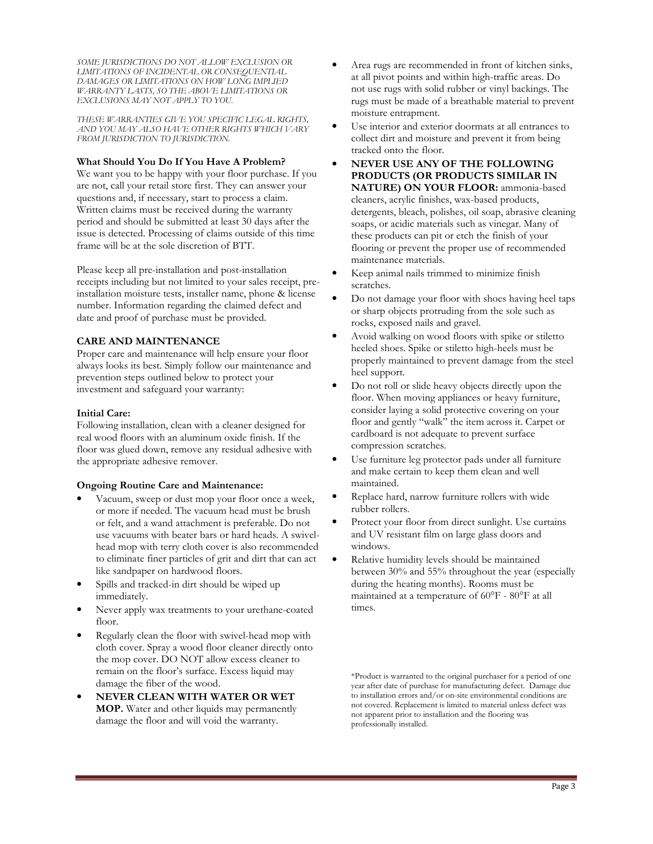*SOME JURISDICTIONS DO NOT ALLOW EXCLUSION OR LIMITATIONS OF INCIDENTAL OR CONSEQUENTIAL DAMAGES OR LIMITATIONS ON HOW LONG IMPLIED WARRANTY LASTS, SO THE ABOVE LIMITATIONS OR EXCLUSIONS MAY NOT APPLY TO YOU.* 

*THESE WARRANTIES GIVE YOU SPECIFIC LEGAL RIGHTS, AND YOU MAY ALSO HAVE OTHER RIGHTS WHICH VARY FROM JURISDICTION TO JURISDICTION.*

#### **What Should You Do If You Have A Problem?**

We want you to be happy with your floor purchase. If you are not, call your retail store first. They can answer your questions and, if necessary, start to process a claim. Written claims must be received during the warranty period and should be submitted at least 30 days after the issue is detected. Processing of claims outside of this time frame will be at the sole discretion of BTT.

Please keep all pre-installation and post-installation receipts including but not limited to your sales receipt, preinstallation moisture tests, installer name, phone & license number. Information regarding the claimed defect and date and proof of purchase must be provided.

# **CARE AND MAINTENANCE**

Proper care and maintenance will help ensure your floor always looks its best. Simply follow our maintenance and prevention steps outlined below to protect your investment and safeguard your warranty:

# **Initial Care:**

Following installation, clean with a cleaner designed for real wood floors with an aluminum oxide finish. If the floor was glued down, remove any residual adhesive with the appropriate adhesive remover.

# **Ongoing Routine Care and Maintenance:**

- Vacuum, sweep or dust mop your floor once a week, or more if needed. The vacuum head must be brush or felt, and a wand attachment is preferable. Do not use vacuums with beater bars or hard heads. A swivelhead mop with terry cloth cover is also recommended to eliminate finer particles of grit and dirt that can act like sandpaper on hardwood floors.
- Spills and tracked-in dirt should be wiped up immediately.
- Never apply wax treatments to your urethane-coated floor.
- Regularly clean the floor with swivel-head mop with cloth cover. Spray a wood floor cleaner directly onto the mop cover. DO NOT allow excess cleaner to remain on the floor's surface. Excess liquid may damage the fiber of the wood.
- **NEVER CLEAN WITH WATER OR WET MOP.** Water and other liquids may permanently damage the floor and will void the warranty.
- Area rugs are recommended in front of kitchen sinks, at all pivot points and within high-traffic areas. Do not use rugs with solid rubber or vinyl backings. The rugs must be made of a breathable material to prevent moisture entrapment.
- Use interior and exterior doormats at all entrances to collect dirt and moisture and prevent it from being tracked onto the floor.
- **NEVER USE ANY OF THE FOLLOWING PRODUCTS (OR PRODUCTS SIMILAR IN NATURE) ON YOUR FLOOR:** ammonia-based cleaners, acrylic finishes, wax-based products, detergents, bleach, polishes, oil soap, abrasive cleaning soaps, or acidic materials such as vinegar. Many of these products can pit or etch the finish of your flooring or prevent the proper use of recommended maintenance materials.
- Keep animal nails trimmed to minimize finish scratches.
- Do not damage your floor with shoes having heel taps or sharp objects protruding from the sole such as rocks, exposed nails and gravel.
- Avoid walking on wood floors with spike or stiletto heeled shoes. Spike or stiletto high-heels must be properly maintained to prevent damage from the steel heel support.
- Do not roll or slide heavy objects directly upon the floor. When moving appliances or heavy furniture, consider laying a solid protective covering on your floor and gently "walk" the item across it. Carpet or cardboard is not adequate to prevent surface compression scratches.
- Use furniture leg protector pads under all furniture and make certain to keep them clean and well maintained.
- Replace hard, narrow furniture rollers with wide rubber rollers.
- Protect your floor from direct sunlight. Use curtains and UV resistant film on large glass doors and windows.
- Relative humidity levels should be maintained between 30% and 55% throughout the year (especially during the heating months). Rooms must be maintained at a temperature of 60°F - 80°F at all times.

\*Product is warranted to the original purchaser for a period of one year after date of purchase for manufacturing defect. Damage due to installation errors and/or on-site environmental conditions are not covered. Replacement is limited to material unless defect was not apparent prior to installation and the flooring was professionally installed.